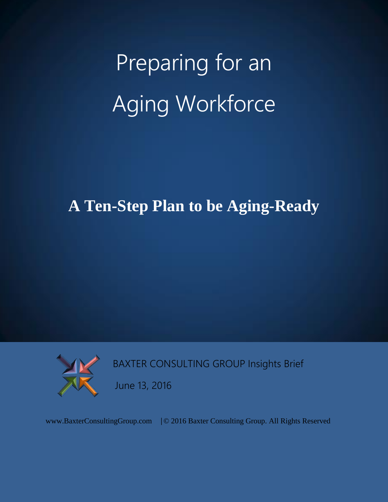# Preparing for an Aging Workforce

# **A Ten-Step Plan to be Aging-Ready**



BAXTER CONSULTING GROUP Insights Brief

June 13, 2016

www.BaxterConsultingGroup.com |© 2016 Baxter Consulting Group. All Rights Reserved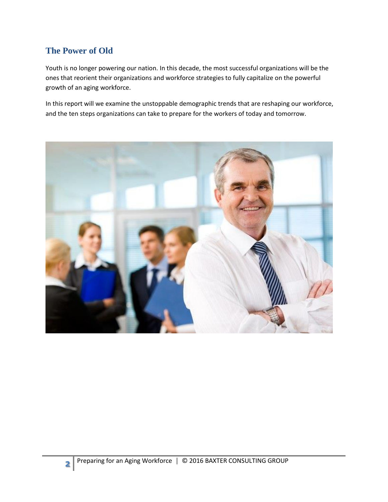## **The Power of Old**

Youth is no longer powering our nation. In this decade, the most successful organizations will be the ones that reorient their organizations and workforce strategies to fully capitalize on the powerful growth of an aging workforce.

In this report will we examine the unstoppable demographic trends that are reshaping our workforce, and the ten steps organizations can take to prepare for the workers of today and tomorrow.

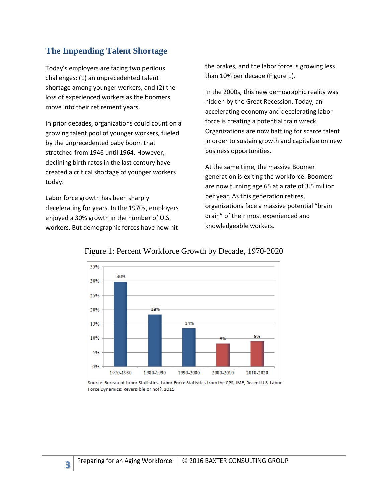#### **The Impending Talent Shortage**

Today's employers are facing two perilous challenges: (1) an unprecedented talent shortage among younger workers, and (2) the loss of experienced workers as the boomers move into their retirement years.

In prior decades, organizations could count on a growing talent pool of younger workers, fueled by the unprecedented baby boom that stretched from 1946 until 1964. However, declining birth rates in the last century have created a critical shortage of younger workers today.

Labor force growth has been sharply decelerating for years. In the 1970s, employers enjoyed a 30% growth in the number of U.S. workers. But demographic forces have now hit

**3**

the brakes, and the labor force is growing less than 10% per decade (Figure 1).

In the 2000s, this new demographic reality was hidden by the Great Recession. Today, an accelerating economy and decelerating labor force is creating a potential train wreck. Organizations are now battling for scarce talent in order to sustain growth and capitalize on new business opportunities.

At the same time, the massive Boomer generation is exiting the workforce. Boomers are now turning age 65 at a rate of 3.5 million per year. As this generation retires, organizations face a massive potential "brain drain" of their most experienced and knowledgeable workers.



#### Figure 1: Percent Workforce Growth by Decade, 1970-2020

Source: Bureau of Labor Statistics, Labor Force Statistics from the CPS; IMF, Recent U.S. Labor Force Dynamics: Reversible or not?, 2015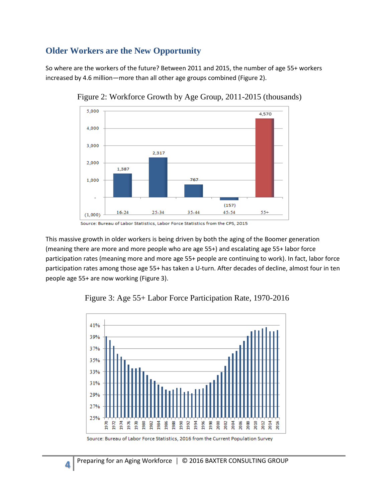### **Older Workers are the New Opportunity**

So where are the workers of the future? Between 2011 and 2015, the number of age 55+ workers increased by 4.6 million—more than all other age groups combined (Figure 2).



Figure 2: Workforce Growth by Age Group, 2011-2015 (thousands)

This massive growth in older workers is being driven by both the aging of the Boomer generation (meaning there are more and more people who are age 55+) and escalating age 55+ labor force participation rates (meaning more and more age 55+ people are continuing to work). In fact, labor force participation rates among those age 55+ has taken a U-turn. After decades of decline, almost four in ten people age 55+ are now working (Figure 3).



Figure 3: Age 55+ Labor Force Participation Rate, 1970-2016

**4**

Source: Bureau of Labor Statistics, Labor Force Statistics from the CPS, 2015

Source: Bureau of Labor Force Statistics, 2016 from the Current Population Survey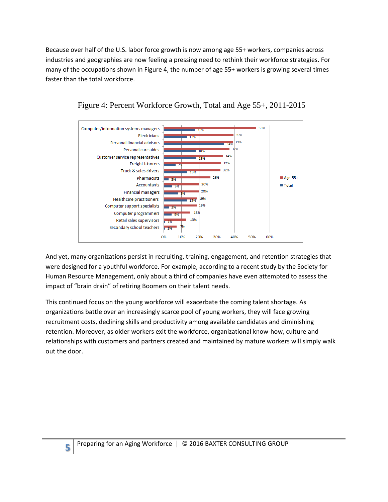Because over half of the U.S. labor force growth is now among age 55+ workers, companies across industries and geographies are now feeling a pressing need to rethink their workforce strategies. For many of the occupations shown in Figure 4, the number of age 55+ workers is growing several times faster than the total workforce.



Figure 4: Percent Workforce Growth, Total and Age 55+, 2011-2015

And yet, many organizations persist in recruiting, training, engagement, and retention strategies that were designed for a youthful workforce. For example, according to a recent study by the Society for Human Resource Management, only about a third of companies have even attempted to assess the impact of "brain drain" of retiring Boomers on their talent needs.

This continued focus on the young workforce will exacerbate the coming talent shortage. As organizations battle over an increasingly scarce pool of young workers, they will face growing recruitment costs, declining skills and productivity among available candidates and diminishing retention. Moreover, as older workers exit the workforce, organizational know-how, culture and relationships with customers and partners created and maintained by mature workers will simply walk out the door.

**5**